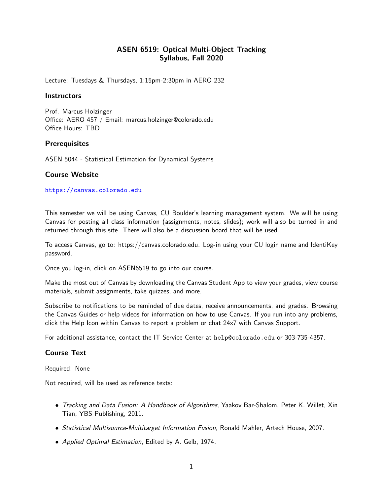# ASEN 6519: Optical Multi-Object Tracking Syllabus, Fall 2020

Lecture: Tuesdays & Thursdays, 1:15pm-2:30pm in AERO 232

#### **Instructors**

Prof. Marcus Holzinger Office: AERO 457 / Email: marcus.holzinger@colorado.edu Office Hours: TBD

#### **Prerequisites**

ASEN 5044 - Statistical Estimation for Dynamical Systems

## Course Website

<https://canvas.colorado.edu>

This semester we will be using Canvas, CU Boulder's learning management system. We will be using Canvas for posting all class information (assignments, notes, slides); work will also be turned in and returned through this site. There will also be a discussion board that will be used.

To access Canvas, go to: https://canvas.colorado.edu. Log-in using your CU login name and IdentiKey password.

Once you log-in, click on ASEN6519 to go into our course.

Make the most out of Canvas by downloading the Canvas Student App to view your grades, view course materials, submit assignments, take quizzes, and more.

Subscribe to notifications to be reminded of due dates, receive announcements, and grades. Browsing the Canvas Guides or help videos for information on how to use Canvas. If you run into any problems, click the Help Icon within Canvas to report a problem or chat 24x7 with Canvas Support.

For additional assistance, contact the IT Service Center at help@colorado.edu or 303-735-4357.

## Course Text

Required: None

Not required, will be used as reference texts:

- Tracking and Data Fusion: A Handbook of Algorithms, Yaakov Bar-Shalom, Peter K. Willet, Xin Tian, YBS Publishing, 2011.
- Statistical Multisource-Multitarget Information Fusion, Ronald Mahler, Artech House, 2007.
- Applied Optimal Estimation, Edited by A. Gelb, 1974.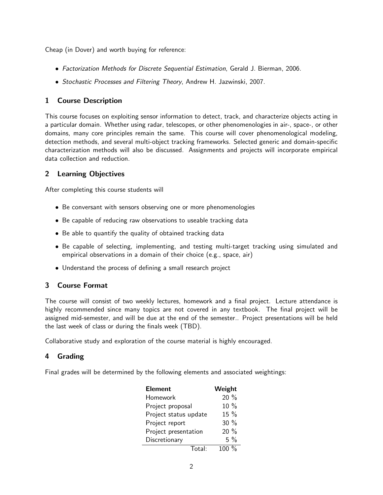Cheap (in Dover) and worth buying for reference:

- Factorization Methods for Discrete Sequential Estimation, Gerald J. Bierman, 2006.
- Stochastic Processes and Filtering Theory, Andrew H. Jazwinski, 2007.

## 1 Course Description

This course focuses on exploiting sensor information to detect, track, and characterize objects acting in a particular domain. Whether using radar, telescopes, or other phenomenologies in air-, space-, or other domains, many core principles remain the same. This course will cover phenomenological modeling, detection methods, and several multi-object tracking frameworks. Selected generic and domain-specific characterization methods will also be discussed. Assignments and projects will incorporate empirical data collection and reduction.

# 2 Learning Objectives

After completing this course students will

- Be conversant with sensors observing one or more phenomenologies
- Be capable of reducing raw observations to useable tracking data
- Be able to quantify the quality of obtained tracking data
- Be capable of selecting, implementing, and testing multi-target tracking using simulated and empirical observations in a domain of their choice (e.g., space, air)
- Understand the process of defining a small research project

# 3 Course Format

The course will consist of two weekly lectures, homework and a final project. Lecture attendance is highly recommended since many topics are not covered in any textbook. The final project will be assigned mid-semester, and will be due at the end of the semester.. Project presentations will be held the last week of class or during the finals week (TBD).

Collaborative study and exploration of the course material is highly encouraged.

## 4 Grading

Final grades will be determined by the following elements and associated weightings:

| <b>Element</b>        | Weight   |
|-----------------------|----------|
| Homework              | 20 %     |
| Project proposal      | 10 %     |
| Project status update | 15 %     |
| Project report        | 30%      |
| Project presentation  | $20\%$   |
| Discretionary         | $5\%$    |
| Total                 | 100 $\%$ |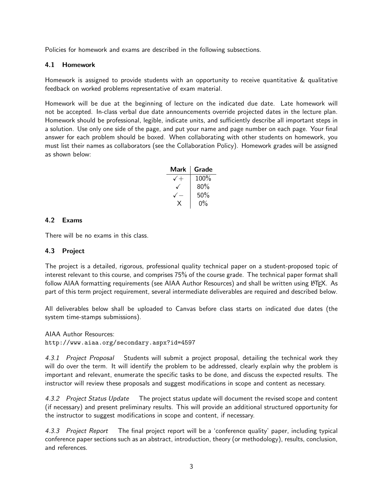Policies for homework and exams are described in the following subsections.

#### 4.1 Homework

Homework is assigned to provide students with an opportunity to receive quantitative & qualitative feedback on worked problems representative of exam material.

Homework will be due at the beginning of lecture on the indicated due date. Late homework will not be accepted. In-class verbal due date announcements override projected dates in the lecture plan. Homework should be professional, legible, indicate units, and sufficiently describe all important steps in a solution. Use only one side of the page, and put your name and page number on each page. Your final answer for each problem should be boxed. When collaborating with other students on homework, you must list their names as collaborators (see the Collaboration Policy). Homework grades will be assigned as shown below:

| Mark | Grade |
|------|-------|
|      | 100%  |
|      | 80%   |
|      | 50%   |
|      | $0\%$ |

## 4.2 Exams

There will be no exams in this class.

#### 4.3 Project

The project is a detailed, rigorous, professional quality technical paper on a student-proposed topic of interest relevant to this course, and comprises 75% of the course grade. The technical paper format shall follow AIAA formatting requirements (see AIAA Author Resources) and shall be written using LATFX. As part of this term project requirement, several intermediate deliverables are required and described below.

All deliverables below shall be uploaded to Canvas before class starts on indicated due dates (the system time-stamps submissions).

AIAA Author Resources: http://www.aiaa.org/secondary.aspx?id=4597

4.3.1 Project Proposal Students will submit a project proposal, detailing the technical work they will do over the term. It will identify the problem to be addressed, clearly explain why the problem is important and relevant, enumerate the specific tasks to be done, and discuss the expected results. The instructor will review these proposals and suggest modifications in scope and content as necessary.

4.3.2 Project Status Update The project status update will document the revised scope and content (if necessary) and present preliminary results. This will provide an additional structured opportunity for the instructor to suggest modifications in scope and content, if necessary.

4.3.3 Project Report The final project report will be a 'conference quality' paper, including typical conference paper sections such as an abstract, introduction, theory (or methodology), results, conclusion, and references.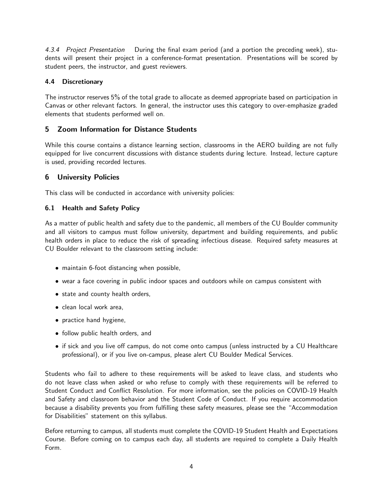4.3.4 Project Presentation During the final exam period (and a portion the preceding week), students will present their project in a conference-format presentation. Presentations will be scored by student peers, the instructor, and guest reviewers.

#### 4.4 Discretionary

The instructor reserves 5% of the total grade to allocate as deemed appropriate based on participation in Canvas or other relevant factors. In general, the instructor uses this category to over-emphasize graded elements that students performed well on.

# 5 Zoom Information for Distance Students

While this course contains a distance learning section, classrooms in the AERO building are not fully equipped for live concurrent discussions with distance students during lecture. Instead, lecture capture is used, providing recorded lectures.

## 6 University Policies

This class will be conducted in accordance with university policies:

## 6.1 Health and Safety Policy

As a matter of public health and safety due to the pandemic, all members of the CU Boulder community and all visitors to campus must follow university, department and building requirements, and public health orders in place to reduce the risk of spreading infectious disease. Required safety measures at CU Boulder relevant to the classroom setting include:

- maintain 6-foot distancing when possible,
- wear a face covering in public indoor spaces and outdoors while on campus consistent with
- state and county health orders,
- clean local work area,
- practice hand hygiene,
- follow public health orders, and
- if sick and you live off campus, do not come onto campus (unless instructed by a CU Healthcare professional), or if you live on-campus, please alert CU Boulder Medical Services.

Students who fail to adhere to these requirements will be asked to leave class, and students who do not leave class when asked or who refuse to comply with these requirements will be referred to Student Conduct and Conflict Resolution. For more information, see the policies on COVID-19 Health and Safety and classroom behavior and the Student Code of Conduct. If you require accommodation because a disability prevents you from fulfilling these safety measures, please see the "Accommodation for Disabilities" statement on this syllabus.

Before returning to campus, all students must complete the COVID-19 Student Health and Expectations Course. Before coming on to campus each day, all students are required to complete a Daily Health Form.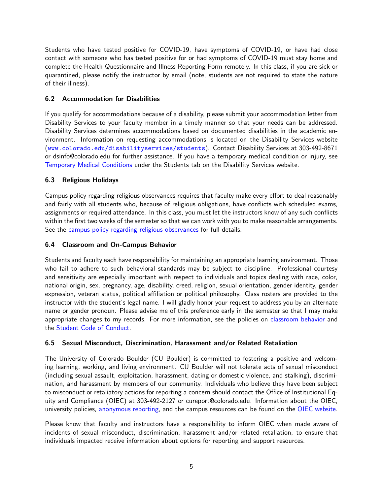Students who have tested positive for COVID-19, have symptoms of COVID-19, or have had close contact with someone who has tested positive for or had symptoms of COVID-19 must stay home and complete the Health Questionnaire and Illness Reporting Form remotely. In this class, if you are sick or quarantined, please notify the instructor by email (note, students are not required to state the nature of their illness).

## 6.2 Accommodation for Disabilities

If you qualify for accommodations because of a disability, please submit your accommodation letter from Disability Services to your faculty member in a timely manner so that your needs can be addressed. Disability Services determines accommodations based on documented disabilities in the academic environment. Information on requesting accommodations is located on the Disability Services website (<www.colorado.edu/disabilityservices/students>). Contact Disability Services at 303-492-8671 or dsinfo@colorado.edu for further assistance. If you have a temporary medical condition or injury, see [Temporary Medical Conditions](http://www.colorado.edu/disabilityservices/students/temporary-medical-conditions) under the Students tab on the Disability Services website.

#### 6.3 Religious Holidays

Campus policy regarding religious observances requires that faculty make every effort to deal reasonably and fairly with all students who, because of religious obligations, have conflicts with scheduled exams, assignments or required attendance. In this class, you must let the instructors know of any such conflicts within the first two weeks of the semester so that we can work with you to make reasonable arrangements. See the [campus policy regarding religious observances](http://www.colorado.edu/policies/observance-religious-holidays-and-absences-classes-andor-exams) for full details.

#### 6.4 Classroom and On-Campus Behavior

Students and faculty each have responsibility for maintaining an appropriate learning environment. Those who fail to adhere to such behavioral standards may be subject to discipline. Professional courtesy and sensitivity are especially important with respect to individuals and topics dealing with race, color, national origin, sex, pregnancy, age, disability, creed, religion, sexual orientation, gender identity, gender expression, veteran status, political affiliation or political philosophy. Class rosters are provided to the instructor with the student's legal name. I will gladly honor your request to address you by an alternate name or gender pronoun. Please advise me of this preference early in the semester so that I may make appropriate changes to my records. For more information, see the policies on [classroom behavior](http://www.colorado.edu/policies/student-classroom-and-course-related-behavior) and the [Student Code of Conduct.](http://www.colorado.edu/osccr/)

#### 6.5 Sexual Misconduct, Discrimination, Harassment and/or Related Retaliation

The University of Colorado Boulder (CU Boulder) is committed to fostering a positive and welcoming learning, working, and living environment. CU Boulder will not tolerate acts of sexual misconduct (including sexual assault, exploitation, harassment, dating or domestic violence, and stalking), discrimination, and harassment by members of our community. Individuals who believe they have been subject to misconduct or retaliatory actions for reporting a concern should contact the Office of Institutional Equity and Compliance (OIEC) at 303-492-2127 or cureport@colorado.edu. Information about the OIEC, university policies, [anonymous reporting,](https://cuboulder.qualtrics.com/jfe/form/SV_0PnqVK4kkIJIZnf) and the campus resources can be found on the [OIEC website.](http://www.colorado.edu/institutionalequity/)

Please know that faculty and instructors have a responsibility to inform OIEC when made aware of incidents of sexual misconduct, discrimination, harassment and/or related retaliation, to ensure that individuals impacted receive information about options for reporting and support resources.